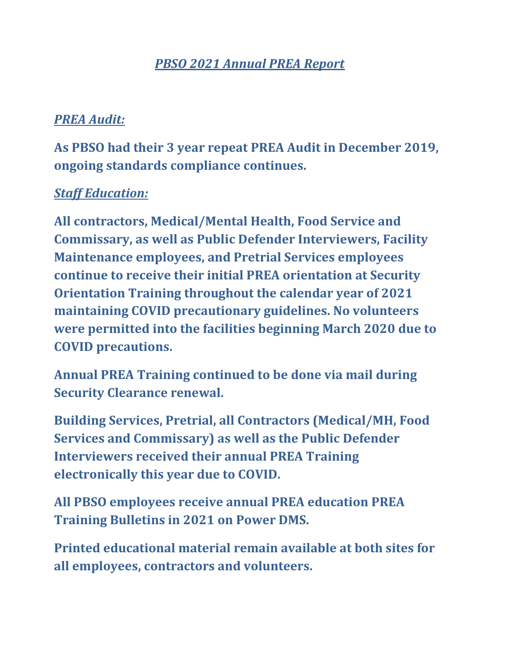# *PBSO 2021 Annual PREA Report*

## *PREA Audit:*

**As PBSO had their 3 year repeat PREA Audit in December 2019, ongoing standards compliance continues.**

### *Staff Education:*

**All contractors, Medical/Mental Health, Food Service and Commissary, as well as Public Defender Interviewers, Facility Maintenance employees, and Pretrial Services employees continue to receive their initial PREA orientation at Security Orientation Training throughout the calendar year of 2021 maintaining COVID precautionary guidelines. No volunteers were permitted into the facilities beginning March 2020 due to COVID precautions.**

**Annual PREA Training continued to be done via mail during Security Clearance renewal.** 

**Building Services, Pretrial, all Contractors (Medical/MH, Food Services and Commissary) as well as the Public Defender Interviewers received their annual PREA Training electronically this year due to COVID.**

**All PBSO employees receive annual PREA education PREA Training Bulletins in 2021 on Power DMS.**

**Printed educational material remain available at both sites for all employees, contractors and volunteers.**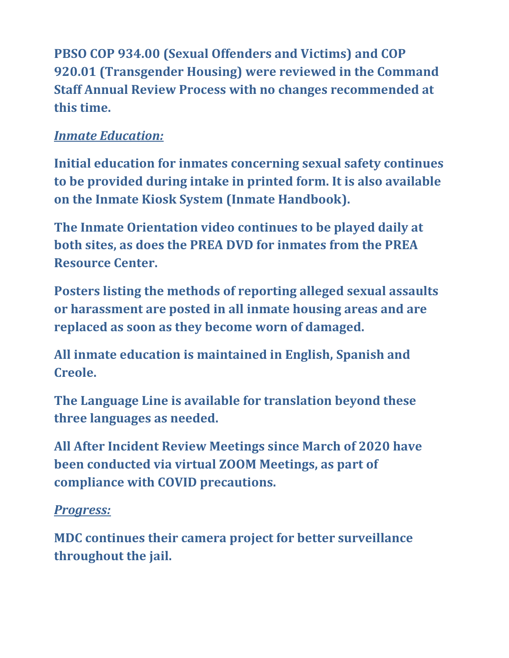**PBSO COP 934.00 (Sexual Offenders and Victims) and COP 920.01 (Transgender Housing) were reviewed in the Command Staff Annual Review Process with no changes recommended at this time.**

# *Inmate Education:*

**Initial education for inmates concerning sexual safety continues to be provided during intake in printed form. It is also available on the Inmate Kiosk System (Inmate Handbook).**

**The Inmate Orientation video continues to be played daily at both sites, as does the PREA DVD for inmates from the PREA Resource Center.**

**Posters listing the methods of reporting alleged sexual assaults or harassment are posted in all inmate housing areas and are replaced as soon as they become worn of damaged.**

**All inmate education is maintained in English, Spanish and Creole.**

**The Language Line is available for translation beyond these three languages as needed.**

**All After Incident Review Meetings since March of 2020 have been conducted via virtual ZOOM Meetings, as part of compliance with COVID precautions.**

### *Progress:*

**MDC continues their camera project for better surveillance throughout the jail.**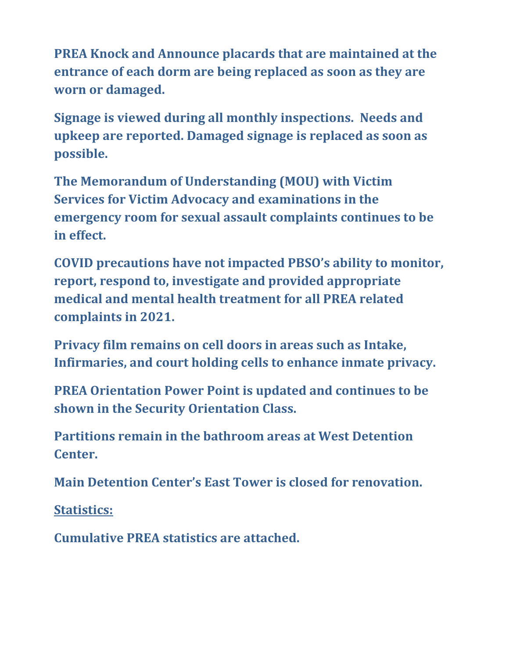**PREA Knock and Announce placards that are maintained at the entrance of each dorm are being replaced as soon as they are worn or damaged.**

**Signage is viewed during all monthly inspections. Needs and upkeep are reported. Damaged signage is replaced as soon as possible.** 

**The Memorandum of Understanding (MOU) with Victim Services for Victim Advocacy and examinations in the emergency room for sexual assault complaints continues to be in effect.**

**COVID precautions have not impacted PBSO's ability to monitor, report, respond to, investigate and provided appropriate medical and mental health treatment for all PREA related complaints in 2021.**

**Privacy film remains on cell doors in areas such as Intake, Infirmaries, and court holding cells to enhance inmate privacy.** 

**PREA Orientation Power Point is updated and continues to be shown in the Security Orientation Class.**

**Partitions remain in the bathroom areas at West Detention Center.** 

**Main Detention Center's East Tower is closed for renovation.** 

**Statistics:**

**Cumulative PREA statistics are attached.**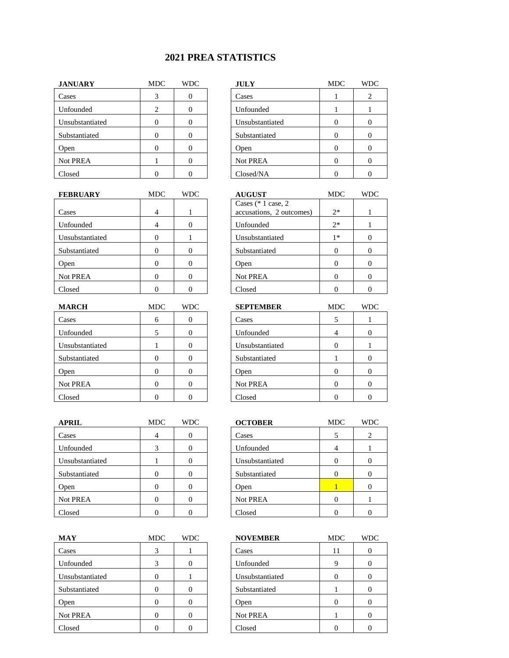#### **2021 PREA STATISTICS**

| <b>JANUARY</b>  | MDC | <b>WDC</b> | <b>JULY</b>     | <b>MDC</b> | WI             |
|-----------------|-----|------------|-----------------|------------|----------------|
| Cases           |     |            | Cases           |            | $\overline{2}$ |
| Unfounded       | ∍   |            | Unfounded       |            |                |
| Unsubstantiated |     |            | Unsubstantiated |            | $\theta$       |
| Substantiated   |     |            | Substantiated   |            | $\theta$       |
| Open            |     |            | Open            |            | $\theta$       |
| Not PREA        |     |            | Not PREA        |            | $\theta$       |
| Closed          |     |            | Closed/NA       |            | $\theta$       |

| <b>JULY</b>     | MDC | WDC |
|-----------------|-----|-----|
| Cases           |     | 2   |
| Unfounded       |     |     |
| Unsubstantiated |     |     |
| Substantiated   |     |     |
| Open            |     |     |
| Not PREA        |     |     |
| Closed/NA       |     |     |

| <b>FEBRUARY</b> | <b>MDC</b> | <b>WDC</b> | <b>AUGUST</b>            | <b>MDC</b> | <b>WDC</b> |
|-----------------|------------|------------|--------------------------|------------|------------|
|                 |            |            | Cases $(* 1 case, 2)$    |            |            |
| Cases           | 4          |            | accusations, 2 outcomes) | $2*$       |            |
| Unfounded       |            |            | Unfounded                | $2*$       |            |
| Unsubstantiated |            |            | Unsubstantiated          | $1*$       |            |
| Substantiated   |            |            | Substantiated            | 0          |            |
| Open            |            |            | Open                     | $\Omega$   |            |
| Not PREA        |            |            | <b>Not PREA</b>          | 0          |            |
| Closed          |            |            | Closed                   |            |            |

| <b>MARCH</b>    | MDC | <b>WDC</b> | <b>SEPTEMBER</b> | <b>MDC</b> | WĽ       |
|-----------------|-----|------------|------------------|------------|----------|
| Cases           | 6   |            | Cases            |            |          |
| Unfounded       |     |            | Unfounded        | 4          | $\theta$ |
| Unsubstantiated |     |            | Unsubstantiated  |            |          |
| Substantiated   |     |            | Substantiated    |            | $\theta$ |
| Open            |     |            | Open             |            | $\theta$ |
| Not PREA        |     |            | Not PREA         |            | $\theta$ |
| Closed          |     |            | Closed           |            | $\theta$ |

| <b>APRIL</b>    | MDC | <b>WDC</b> | <b>OCTOBER</b>  | <b>MDC</b> | <b>WDC</b> |
|-----------------|-----|------------|-----------------|------------|------------|
| Cases           |     |            | Cases           |            | 2          |
| Unfounded       |     |            | Unfounded       | 4          |            |
| Unsubstantiated |     |            | Unsubstantiated |            |            |
| Substantiated   |     |            | Substantiated   | 0          |            |
| Open            |     |            | Open            |            |            |
| Not PREA        |     |            | Not PREA        |            |            |
| Closed          |     |            | Closed          |            |            |

| <b>MAY</b>      | MDC | <b>WDC</b> | <b>NOVEMBER</b> | <b>MDC</b> | WI       |
|-----------------|-----|------------|-----------------|------------|----------|
| Cases           | 3   |            | Cases           | 11         | $\theta$ |
| Unfounded       | 3   |            | Unfounded       |            | $\theta$ |
| Unsubstantiated |     |            | Unsubstantiated |            | $\theta$ |
| Substantiated   |     |            | Substantiated   |            | $\theta$ |
| Open            |     |            | Open            |            | $\theta$ |
| Not PREA        |     |            | <b>Not PREA</b> |            | $\theta$ |
| Closed          |     |            | Closed          |            | $\theta$ |

| <b>AUGUST</b>            | <b>MDC</b> | WDC |
|--------------------------|------------|-----|
| Cases $(* 1 case, 2)$    |            |     |
| accusations, 2 outcomes) | $2*$       |     |
| Unfounded                | $2*$       |     |
| Unsubstantiated          | 1*         |     |
| Substantiated            |            |     |
| Open                     |            |     |
| Not PREA                 |            |     |
| Closed                   |            |     |

| <b>MARCH</b>    | MDC | WDC | <b>SEPTEMBER</b> | <b>MDC</b> | <b>WDC</b> |
|-----------------|-----|-----|------------------|------------|------------|
| Cases           | 6   |     | Cases            |            |            |
| Unfounded       |     |     | Unfounded        |            |            |
| Unsubstantiated |     |     | Unsubstantiated  |            |            |
| Substantiated   |     |     | Substantiated    |            |            |
| Open            |     |     | Open             |            |            |
| <b>Not PREA</b> |     |     | Not PREA         |            |            |
| Closed          |     |     | Closed           |            |            |

| <b>OCTOBER</b>  | MDC | WDC |
|-----------------|-----|-----|
| Cases           | 5   | 2   |
| Unfounded       |     |     |
| Unsubstantiated |     |     |
| Substantiated   |     |     |
| <b>Open</b>     |     |     |
| Not PREA        |     |     |
| Closed          |     |     |